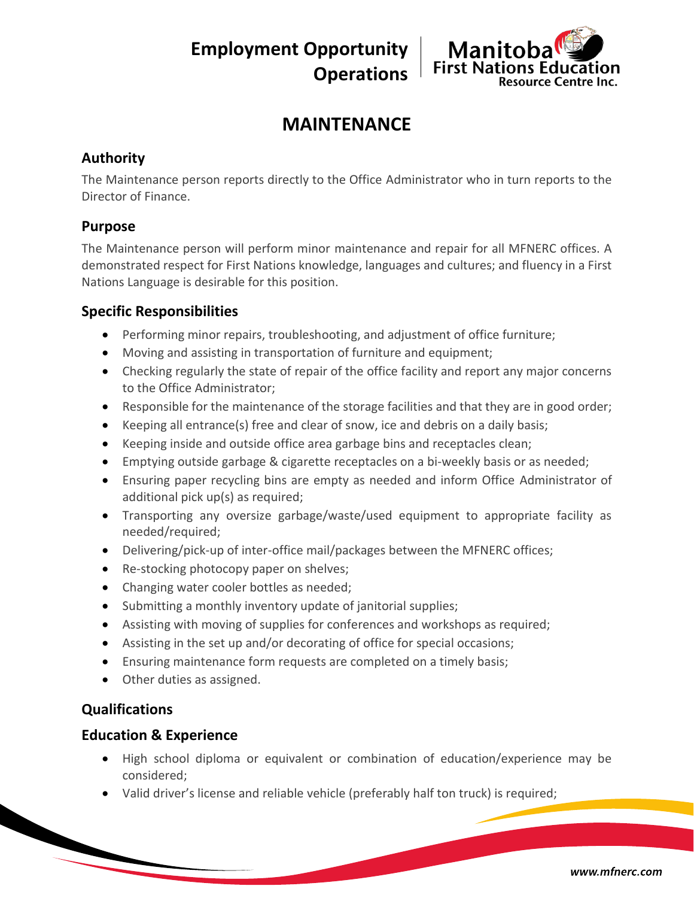**Employment Opportunity Operations**



# **MAINTENANCE**

# **Authority**

The Maintenance person reports directly to the Office Administrator who in turn reports to the Director of Finance.

#### **Purpose**

The Maintenance person will perform minor maintenance and repair for all MFNERC offices. A demonstrated respect for First Nations knowledge, languages and cultures; and fluency in a First Nations Language is desirable for this position.

# **Specific Responsibilities**

- Performing minor repairs, troubleshooting, and adjustment of office furniture;
- Moving and assisting in transportation of furniture and equipment;
- Checking regularly the state of repair of the office facility and report any major concerns to the Office Administrator;
- Responsible for the maintenance of the storage facilities and that they are in good order;
- Keeping all entrance(s) free and clear of snow, ice and debris on a daily basis;
- Keeping inside and outside office area garbage bins and receptacles clean;
- Emptying outside garbage & cigarette receptacles on a bi-weekly basis or as needed;
- Ensuring paper recycling bins are empty as needed and inform Office Administrator of additional pick up(s) as required;
- Transporting any oversize garbage/waste/used equipment to appropriate facility as needed/required;
- Delivering/pick-up of inter-office mail/packages between the MFNERC offices;
- Re-stocking photocopy paper on shelves;
- Changing water cooler bottles as needed;
- Submitting a monthly inventory update of janitorial supplies;
- Assisting with moving of supplies for conferences and workshops as required;
- Assisting in the set up and/or decorating of office for special occasions;
- Ensuring maintenance form requests are completed on a timely basis;
- Other duties as assigned.

# **Qualifications**

#### **Education & Experience**

- High school diploma or equivalent or combination of education/experience may be considered;
- Valid driver's license and reliable vehicle (preferably half ton truck) is required;